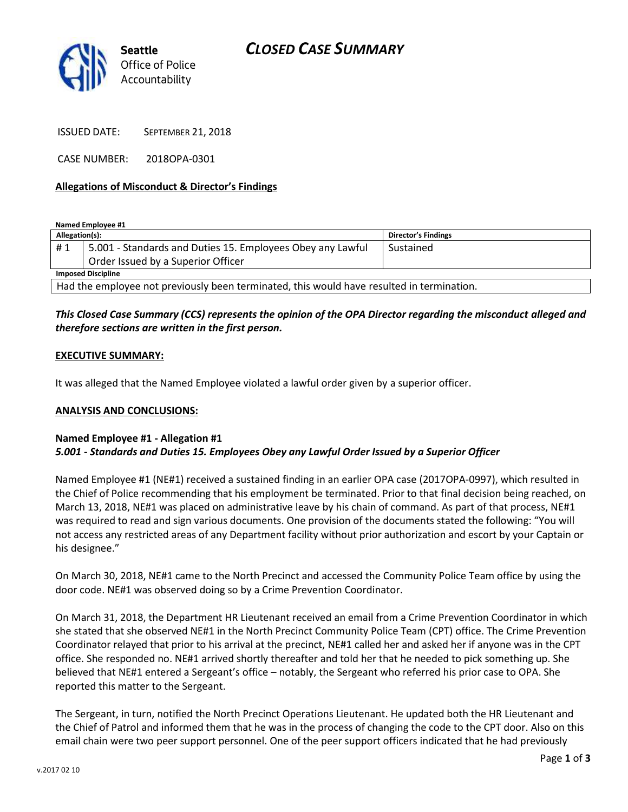

ISSUED DATE: SEPTEMBER 21, 2018

CASE NUMBER: 2018OPA-0301

### **Allegations of Misconduct & Director's Findings**

**Named Employee #1**

| Allegation(s):                                                                            |                                                            | Director's Findings |
|-------------------------------------------------------------------------------------------|------------------------------------------------------------|---------------------|
| #1                                                                                        | 5.001 - Standards and Duties 15. Employees Obey any Lawful | Sustained           |
|                                                                                           | Order Issued by a Superior Officer                         |                     |
| <b>Imposed Discipline</b>                                                                 |                                                            |                     |
| Had the employee not previously been terminated, this would have resulted in termination. |                                                            |                     |

## *This Closed Case Summary (CCS) represents the opinion of the OPA Director regarding the misconduct alleged and therefore sections are written in the first person.*

### **EXECUTIVE SUMMARY:**

It was alleged that the Named Employee violated a lawful order given by a superior officer.

### **ANALYSIS AND CONCLUSIONS:**

## **Named Employee #1 - Allegation #1**

## *5.001 - Standards and Duties 15. Employees Obey any Lawful Order Issued by a Superior Officer*

Named Employee #1 (NE#1) received a sustained finding in an earlier OPA case (2017OPA-0997), which resulted in the Chief of Police recommending that his employment be terminated. Prior to that final decision being reached, on March 13, 2018, NE#1 was placed on administrative leave by his chain of command. As part of that process, NE#1 was required to read and sign various documents. One provision of the documents stated the following: "You will not access any restricted areas of any Department facility without prior authorization and escort by your Captain or his designee."

On March 30, 2018, NE#1 came to the North Precinct and accessed the Community Police Team office by using the door code. NE#1 was observed doing so by a Crime Prevention Coordinator.

On March 31, 2018, the Department HR Lieutenant received an email from a Crime Prevention Coordinator in which she stated that she observed NE#1 in the North Precinct Community Police Team (CPT) office. The Crime Prevention Coordinator relayed that prior to his arrival at the precinct, NE#1 called her and asked her if anyone was in the CPT office. She responded no. NE#1 arrived shortly thereafter and told her that he needed to pick something up. She believed that NE#1 entered a Sergeant's office – notably, the Sergeant who referred his prior case to OPA. She reported this matter to the Sergeant.

The Sergeant, in turn, notified the North Precinct Operations Lieutenant. He updated both the HR Lieutenant and the Chief of Patrol and informed them that he was in the process of changing the code to the CPT door. Also on this email chain were two peer support personnel. One of the peer support officers indicated that he had previously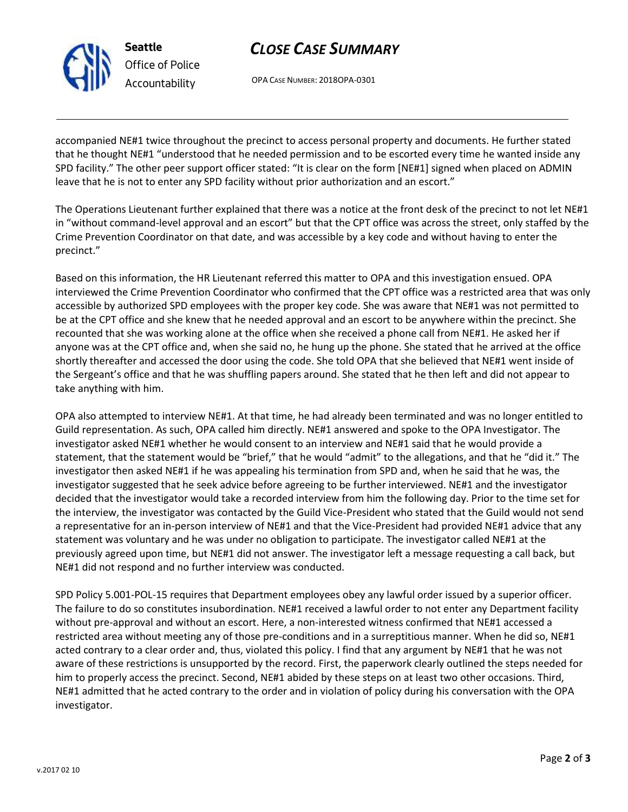

**Seattle** *Office of Police Accountability*

# *CLOSE CASE SUMMARY*

OPA CASE NUMBER: 2018OPA-0301

accompanied NE#1 twice throughout the precinct to access personal property and documents. He further stated that he thought NE#1 "understood that he needed permission and to be escorted every time he wanted inside any SPD facility." The other peer support officer stated: "It is clear on the form [NE#1] signed when placed on ADMIN leave that he is not to enter any SPD facility without prior authorization and an escort."

The Operations Lieutenant further explained that there was a notice at the front desk of the precinct to not let NE#1 in "without command-level approval and an escort" but that the CPT office was across the street, only staffed by the Crime Prevention Coordinator on that date, and was accessible by a key code and without having to enter the precinct."

Based on this information, the HR Lieutenant referred this matter to OPA and this investigation ensued. OPA interviewed the Crime Prevention Coordinator who confirmed that the CPT office was a restricted area that was only accessible by authorized SPD employees with the proper key code. She was aware that NE#1 was not permitted to be at the CPT office and she knew that he needed approval and an escort to be anywhere within the precinct. She recounted that she was working alone at the office when she received a phone call from NE#1. He asked her if anyone was at the CPT office and, when she said no, he hung up the phone. She stated that he arrived at the office shortly thereafter and accessed the door using the code. She told OPA that she believed that NE#1 went inside of the Sergeant's office and that he was shuffling papers around. She stated that he then left and did not appear to take anything with him.

OPA also attempted to interview NE#1. At that time, he had already been terminated and was no longer entitled to Guild representation. As such, OPA called him directly. NE#1 answered and spoke to the OPA Investigator. The investigator asked NE#1 whether he would consent to an interview and NE#1 said that he would provide a statement, that the statement would be "brief," that he would "admit" to the allegations, and that he "did it." The investigator then asked NE#1 if he was appealing his termination from SPD and, when he said that he was, the investigator suggested that he seek advice before agreeing to be further interviewed. NE#1 and the investigator decided that the investigator would take a recorded interview from him the following day. Prior to the time set for the interview, the investigator was contacted by the Guild Vice-President who stated that the Guild would not send a representative for an in-person interview of NE#1 and that the Vice-President had provided NE#1 advice that any statement was voluntary and he was under no obligation to participate. The investigator called NE#1 at the previously agreed upon time, but NE#1 did not answer. The investigator left a message requesting a call back, but NE#1 did not respond and no further interview was conducted.

SPD Policy 5.001-POL-15 requires that Department employees obey any lawful order issued by a superior officer. The failure to do so constitutes insubordination. NE#1 received a lawful order to not enter any Department facility without pre-approval and without an escort. Here, a non-interested witness confirmed that NE#1 accessed a restricted area without meeting any of those pre-conditions and in a surreptitious manner. When he did so, NE#1 acted contrary to a clear order and, thus, violated this policy. I find that any argument by NE#1 that he was not aware of these restrictions is unsupported by the record. First, the paperwork clearly outlined the steps needed for him to properly access the precinct. Second, NE#1 abided by these steps on at least two other occasions. Third, NE#1 admitted that he acted contrary to the order and in violation of policy during his conversation with the OPA investigator.